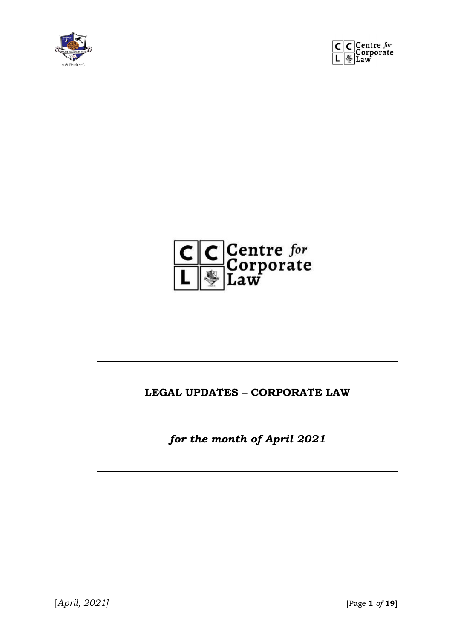





### **LEGAL UPDATES – CORPORATE LAW**

*for the month of April 2021*

[*April, 2021]* [Page **1** *of* **19]**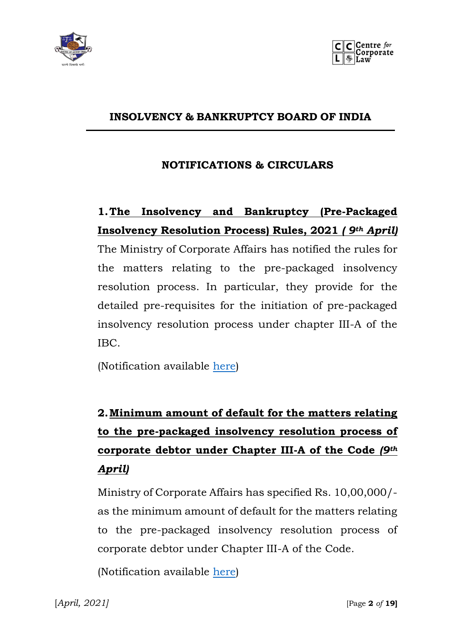



### **INSOLVENCY & BANKRUPTCY BOARD OF INDIA**

### **NOTIFICATIONS & CIRCULARS**

## **1.The Insolvency and Bankruptcy (Pre-Packaged Insolvency Resolution Process) Rules, 2021** *( 9th April)*

The Ministry of Corporate Affairs has notified the rules for the matters relating to the pre-packaged insolvency resolution process. In particular, they provide for the detailed pre-requisites for the initiation of pre-packaged insolvency resolution process under chapter III-A of the IBC.

(Notification available [here\)](https://ibbi.gov.in/uploads/legalframwork/f75906d8657a51f214785c697d9bb296.pdf)

# **2.Minimum amount of default for the matters relating to the pre-packaged insolvency resolution process of corporate debtor under Chapter III-A of the Code** *(9th April)*

Ministry of Corporate Affairs has specified Rs. 10,00,000/ as the minimum amount of default for the matters relating to the pre-packaged insolvency resolution process of corporate debtor under Chapter III-A of the Code.

(Notification available [here\)](https://ibbi.gov.in/uploads/legalframwork/e9b1c4b3489e51213db701b27222b474.pdf)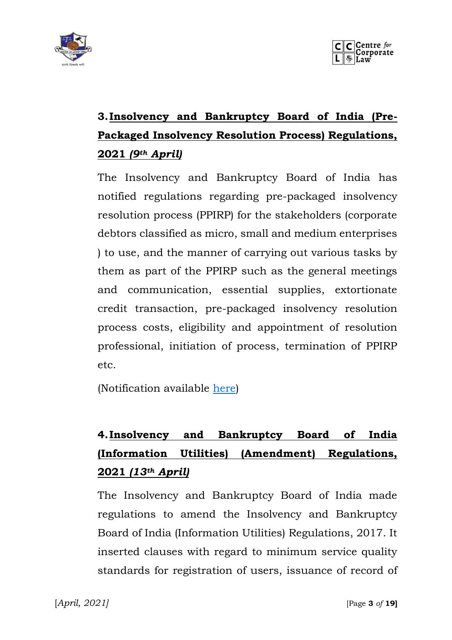



## **3.Insolvency and Bankruptcy Board of India (Pre-Packaged Insolvency Resolution Process) Regulations, 2021** *(9th April)*

The Insolvency and Bankruptcy Board of India has notified regulations regarding pre-packaged insolvency resolution process (PPIRP) for the stakeholders (corporate debtors classified as micro, small and medium enterprises ) to use, and the manner of carrying out various tasks by them as part of the PPIRP such as the general meetings and communication, essential supplies, extortionate credit transaction, pre-packaged insolvency resolution process costs, eligibility and appointment of resolution professional, initiation of process, termination of PPIRP etc.

(Notification available [here\)](https://ibbi.gov.in/uploads/legalframwork/0dd40b82af7a770d5e89c0d9e37bdb45.pdf)

## **4.Insolvency and Bankruptcy Board of India (Information Utilities) (Amendment) Regulations, 2021** *(13th April)*

The Insolvency and Bankruptcy Board of India made regulations to amend the Insolvency and Bankruptcy Board of India (Information Utilities) Regulations, 2017. It inserted clauses with regard to minimum service quality standards for registration of users, issuance of record of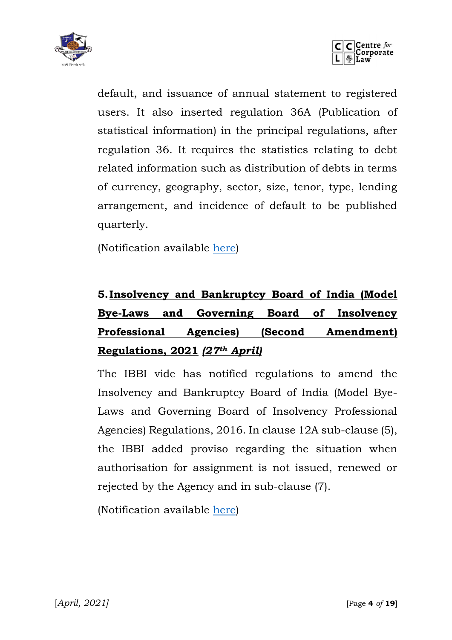



default, and issuance of annual statement to registered users. It also inserted regulation 36A (Publication of statistical information) in the principal regulations, after regulation 36. It requires the statistics relating to debt related information such as distribution of debts in terms of currency, geography, sector, size, tenor, type, lending arrangement, and incidence of default to be published quarterly.

(Notification available [here\)](https://ibbi.gov.in/uploads/legalframwork/874c1870a61be056ec690a5ecb928ef0.pdf)

# **5.Insolvency and Bankruptcy Board of India (Model Bye-Laws and Governing Board of Insolvency Professional Agencies) (Second Amendment) Regulations, 2021** *(27th April)*

The IBBI vide has notified regulations to amend the Insolvency and Bankruptcy Board of India (Model Bye-Laws and Governing Board of Insolvency Professional Agencies) Regulations, 2016. In clause 12A sub-clause (5), the IBBI added proviso regarding the situation when authorisation for assignment is not issued, renewed or rejected by the Agency and in sub-clause (7).

(Notification available [here\)](https://ibbi.gov.in/uploads/legalframwork/cc46284330f773a4c2e4515c03d78d6d.pdf)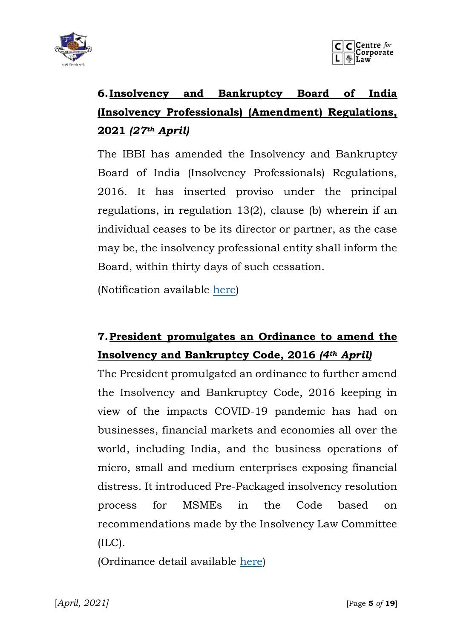



# **6.Insolvency and Bankruptcy Board of India (Insolvency Professionals) (Amendment) Regulations, 2021** *(27th April)*

The IBBI has amended the Insolvency and Bankruptcy Board of India (Insolvency Professionals) Regulations, 2016. It has inserted proviso under the principal regulations, in regulation 13(2), clause (b) wherein if an individual ceases to be its director or partner, as the case may be, the insolvency professional entity shall inform the Board, within thirty days of such cessation.

(Notification available [here\)](https://ibbi.gov.in/uploads/legalframwork/c91c364ba5f65d67f1fd3c1e8e3cf4df.pdf)

### **7.President promulgates an Ordinance to amend the Insolvency and Bankruptcy Code, 2016** *(4th April)*

The President promulgated an ordinance to further amend the Insolvency and Bankruptcy Code, 2016 keeping in view of the impacts COVID-19 pandemic has had on businesses, financial markets and economies all over the world, including India, and the business operations of micro, small and medium enterprises exposing financial distress. It introduced Pre-Packaged insolvency resolution process for MSMEs in the Code based on recommendations made by the Insolvency Law Committee  $(ILC).$ 

(Ordinance detail available [here\)](https://ibbi.gov.in/uploads/legalframwork/04af067c22275dd1538ab2b1383b0050.pdf)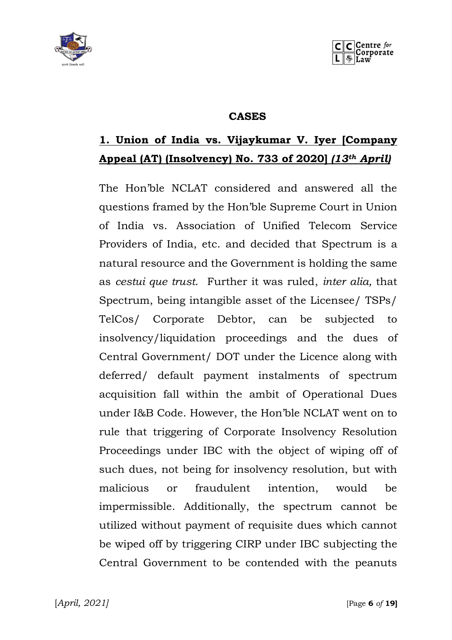



#### **CASES**

## **1. Union of India vs. Vijaykumar V. Iyer [Company Appeal (AT) (Insolvency) No. 733 of 2020]** *(13th April)*

The Hon'ble NCLAT considered and answered all the questions framed by the Hon'ble Supreme Court in Union of India vs. Association of Unified Telecom Service Providers of India, etc. and decided that Spectrum is a natural resource and the Government is holding the same as *cestui que trust*. Further it was ruled, *inter alia,* that Spectrum, being intangible asset of the Licensee/ TSPs/ TelCos/ Corporate Debtor, can be subjected to insolvency/liquidation proceedings and the dues of Central Government/ DOT under the Licence along with deferred/ default payment instalments of spectrum acquisition fall within the ambit of Operational Dues under I&B Code. However, the Hon'ble NCLAT went on to rule that triggering of Corporate Insolvency Resolution Proceedings under IBC with the object of wiping off of such dues, not being for insolvency resolution, but with malicious or fraudulent intention, would be impermissible. Additionally, the spectrum cannot be utilized without payment of requisite dues which cannot be wiped off by triggering CIRP under IBC subjecting the Central Government to be contended with the peanuts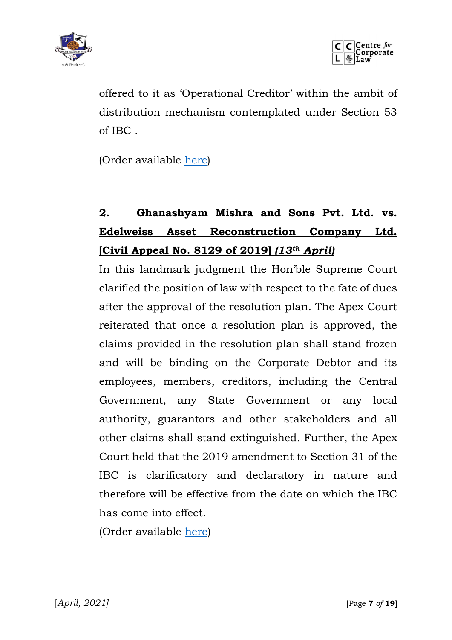



offered to it as 'Operational Creditor' within the ambit of distribution mechanism contemplated under Section 53 of IBC .

(Order available [here\)](https://d2r2ijn7njrktv.cloudfront.net/IL/uploads/2021/04/14174424/Aircel-Order.pdf)

## **2. Ghanashyam Mishra and Sons Pvt. Ltd. vs. Edelweiss Asset Reconstruction Company Ltd. [Civil Appeal No. 8129 of 2019]** *(13th April)*

In this landmark judgment the Hon'ble Supreme Court clarified the position of law with respect to the fate of dues after the approval of the resolution plan. The Apex Court reiterated that once a resolution plan is approved, the claims provided in the resolution plan shall stand frozen and will be binding on the Corporate Debtor and its employees, members, creditors, including the Central Government, any State Government or any local authority, guarantors and other stakeholders and all other claims shall stand extinguished. Further, the Apex Court held that the 2019 amendment to Section 31 of the IBC is clarificatory and declaratory in nature and therefore will be effective from the date on which the IBC has come into effect.

(Order available [here\)](https://ibbi.gov.in/uploads/order/ecaeca64f566cdaa84f535bce42f1232.pdf)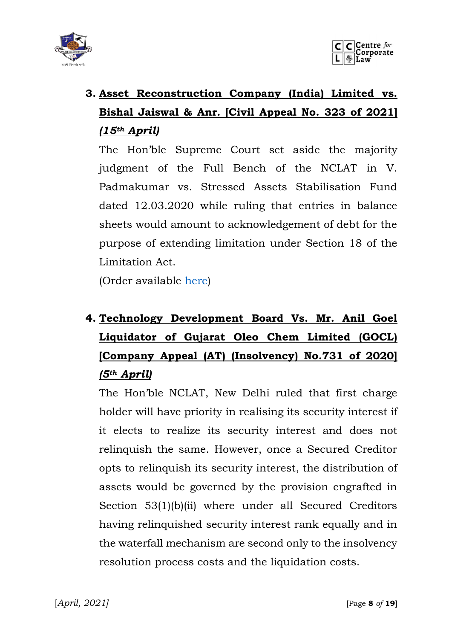

# **3. Asset Reconstruction Company (India) Limited vs. Bishal Jaiswal & Anr. [Civil Appeal No. 323 of 2021]** *(15th April)*

The Hon'ble Supreme Court set aside the majority judgment of the Full Bench of the NCLAT in V. Padmakumar vs. Stressed Assets Stabilisation Fund dated 12.03.2020 while ruling that entries in balance sheets would amount to acknowledgement of debt for the purpose of extending limitation under Section 18 of the Limitation Act.

(Order available [here\)](https://ibbi.gov.in/uploads/order/6f46d35423eabba10c230c216c6c78d9.pdf)

# **4. Technology Development Board Vs. Mr. Anil Goel Liquidator of Gujarat Oleo Chem Limited (GOCL) [Company Appeal (AT) (Insolvency) No.731 of 2020]**  *(5th April)*

The Hon'ble NCLAT, New Delhi ruled that first charge holder will have priority in realising its security interest if it elects to realize its security interest and does not relinquish the same. However, once a Secured Creditor opts to relinquish its security interest, the distribution of assets would be governed by the provision engrafted in Section 53(1)(b)(ii) where under all Secured Creditors having relinquished security interest rank equally and in the waterfall mechanism are second only to the insolvency resolution process costs and the liquidation costs.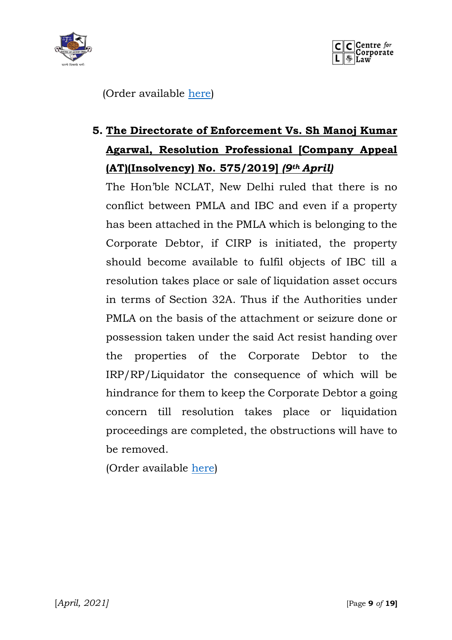



(Order available [here\)](https://nclat.nic.in/Useradmin/upload/1116383502606bf2db5f368.pdf)

## **5. The Directorate of Enforcement Vs. Sh Manoj Kumar Agarwal, Resolution Professional [Company Appeal (AT)(Insolvency) No. 575/2019]** *(9th April)*

The Hon'ble NCLAT, New Delhi ruled that there is no conflict between PMLA and IBC and even if a property has been attached in the PMLA which is belonging to the Corporate Debtor, if CIRP is initiated, the property should become available to fulfil objects of IBC till a resolution takes place or sale of liquidation asset occurs in terms of Section 32A. Thus if the Authorities under PMLA on the basis of the attachment or seizure done or possession taken under the said Act resist handing over the properties of the Corporate Debtor to the IRP/RP/Liquidator the consequence of which will be hindrance for them to keep the Corporate Debtor a going concern till resolution takes place or liquidation proceedings are completed, the obstructions will have to be removed.

(Order available [here\)](https://nclat.nic.in/Useradmin/upload/192006064860708c7a0445d.pdf)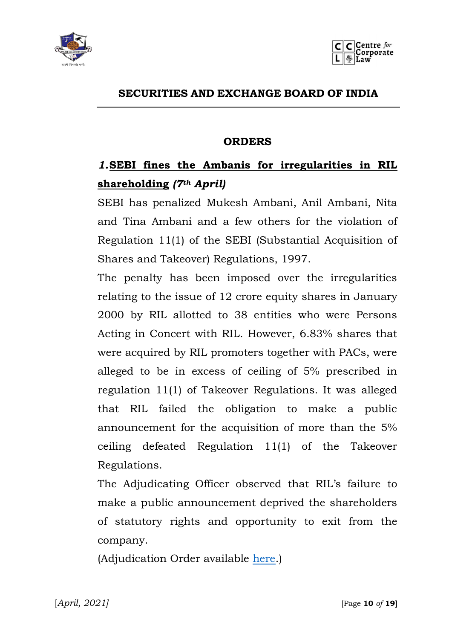



#### **SECURITIES AND EXCHANGE BOARD OF INDIA**

#### **ORDERS**

### *1.***SEBI fines the Ambanis for irregularities in RIL shareholding** *(7th April)*

SEBI has penalized Mukesh Ambani, Anil Ambani, Nita and Tina Ambani and a few others for the violation of Regulation 11(1) of the SEBI (Substantial Acquisition of Shares and Takeover) Regulations, 1997.

The penalty has been imposed over the irregularities relating to the issue of 12 crore equity shares in January 2000 by RIL allotted to 38 entities who were Persons Acting in Concert with RIL. However, 6.83% shares that were acquired by RIL promoters together with PACs, were alleged to be in excess of ceiling of 5% prescribed in regulation 11(1) of Takeover Regulations. It was alleged that RIL failed the obligation to make a public announcement for the acquisition of more than the 5% ceiling defeated Regulation 11(1) of the Takeover Regulations.

The Adjudicating Officer observed that RIL's failure to make a public announcement deprived the shareholders of statutory rights and opportunity to exit from the company.

(Adjudication Order available [here.](https://www.sebi.gov.in/enforcement/orders/apr-2021/adjudication-order-in-the-matter-of-reliance-industries-ltd_49787.html))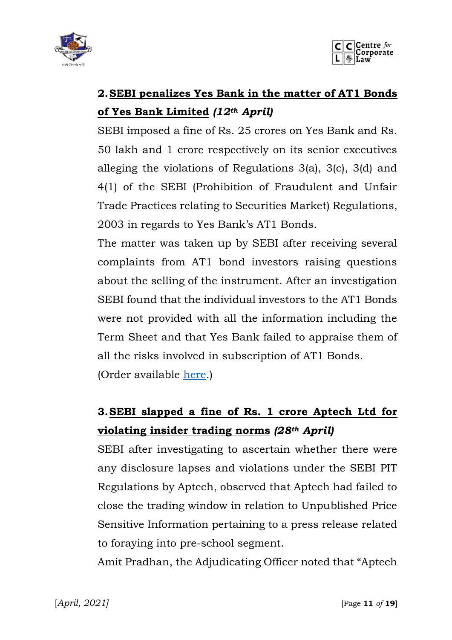



## **2.SEBI penalizes Yes Bank in the matter of AT1 Bonds of Yes Bank Limited** *(12th April)*

SEBI imposed a fine of Rs. 25 crores on Yes Bank and Rs. 50 lakh and 1 crore respectively on its senior executives alleging the violations of Regulations 3(a), 3(c), 3(d) and 4(1) of the SEBI (Prohibition of Fraudulent and Unfair Trade Practices relating to Securities Market) Regulations, 2003 in regards to Yes Bank's AT1 Bonds.

The matter was taken up by SEBI after receiving several complaints from AT1 bond investors raising questions about the selling of the instrument. After an investigation SEBI found that the individual investors to the AT1 Bonds were not provided with all the information including the Term Sheet and that Yes Bank failed to appraise them of all the risks involved in subscription of AT1 Bonds. (Order available [here.](https://www.sebi.gov.in/enforcement/orders/apr-2021/adjudication-order-in-the-matter-of-at1-bonds-of-yes-bank-limited_49822.html))

## **3.SEBI slapped a fine of Rs. 1 crore Aptech Ltd for violating insider trading norms** *(28th April)*

SEBI after investigating to ascertain whether there were any disclosure lapses and violations under the SEBI PIT Regulations by Aptech, observed that Aptech had failed to close the trading window in relation to Unpublished Price Sensitive Information pertaining to a press release related to foraying into pre-school segment.

Amit Pradhan, the Adjudicating Officer noted that "Aptech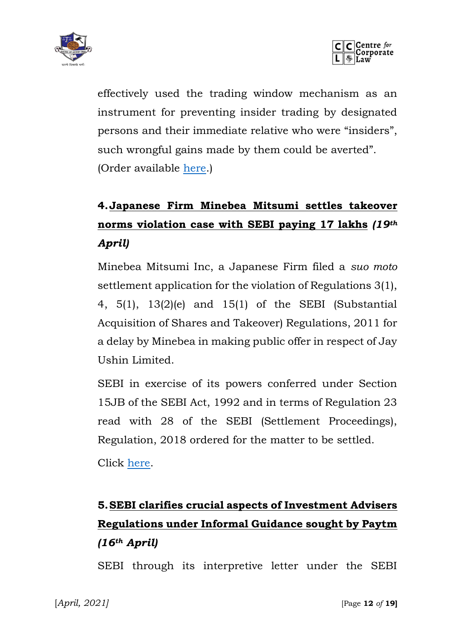



effectively used the trading window mechanism as an instrument for preventing insider trading by designated persons and their immediate relative who were "insiders", such wrongful gains made by them could be averted". (Order available [here.](https://www.sebi.gov.in/enforcement/orders/apr-2021/adjudication-order-in-the-matter-of-aptech-limited_49972.html))

# **4.Japanese Firm Minebea Mitsumi settles takeover norms violation case with SEBI paying 17 lakhs** *(19th April)*

Minebea Mitsumi Inc, a Japanese Firm filed a *suo moto* settlement application for the violation of Regulations 3(1), 4, 5(1), 13(2)(e) and 15(1) of the SEBI (Substantial Acquisition of Shares and Takeover) Regulations, 2011 for a delay by Minebea in making public offer in respect of Jay Ushin Limited.

SEBI in exercise of its powers conferred under Section 15JB of the SEBI Act, 1992 and in terms of Regulation 23 read with 28 of the SEBI (Settlement Proceedings), Regulation, 2018 ordered for the matter to be settled.

Click [here.](https://www.sebi.gov.in/enforcement/orders/apr-2021/settlement-order-in-respect-of-minebea-mitsumi-inc-in-the-matter-of-jay-ushin-limited_49894.html)

# **5.SEBI clarifies crucial aspects of Investment Advisers Regulations under Informal Guidance sought by Paytm** *(16th April)*

SEBI through its interpretive letter under the SEBI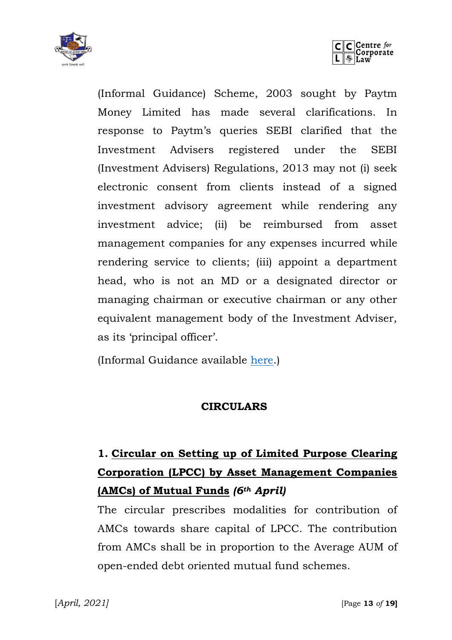



(Informal Guidance) Scheme, 2003 sought by Paytm Money Limited has made several clarifications. In response to Paytm's queries SEBI clarified that the Investment Advisers registered under the SEBI (Investment Advisers) Regulations, 2013 may not (i) seek electronic consent from clients instead of a signed investment advisory agreement while rendering any investment advice; (ii) be reimbursed from asset management companies for any expenses incurred while rendering service to clients; (iii) appoint a department head, who is not an MD or a designated director or managing chairman or executive chairman or any other equivalent management body of the Investment Adviser, as its 'principal officer'.

(Informal Guidance available [here.](https://www.sebi.gov.in/enforcement/informal-guidance/apr-2021/informal-guidance-sought-by-paytm-money-limited-regarding-sebi-investment-advisers-regulations-2013_49853.html))

### **CIRCULARS**

## **1. Circular on Setting up of Limited Purpose Clearing Corporation (LPCC) by Asset Management Companies (AMCs) of Mutual Funds** *(6th April)*

The circular prescribes modalities for contribution of AMCs towards share capital of LPCC. The contribution from AMCs shall be in proportion to the Average AUM of open-ended debt oriented mutual fund schemes.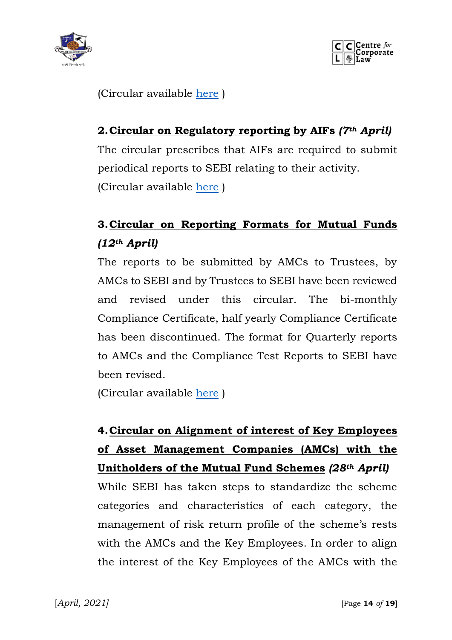



(Circular available [here](https://www.sebi.gov.in/legal/circulars/apr-2021/setting-up-of-limited-purpose-clearing-corporation-lpcc-by-asset-management-companies-amcs-of-mutual-funds_49770.html) )

### **2.Circular on Regulatory reporting by AIFs** *(7th April)*

The circular prescribes that AIFs are required to submit periodical reports to SEBI relating to their activity. (Circular available [here](https://www.sebi.gov.in/legal/circulars/apr-2021/circular-on-regulatory-reporting-by-aifs_49788.html) )

## **3.Circular on Reporting Formats for Mutual Funds** *(12th April)*

The reports to be submitted by AMCs to Trustees, by AMCs to SEBI and by Trustees to SEBI have been reviewed and revised under this circular. The bi-monthly Compliance Certificate, half yearly Compliance Certificate has been discontinued. The format for Quarterly reports to AMCs and the Compliance Test Reports to SEBI have been revised.

(Circular available [here](https://www.sebi.gov.in/legal/circulars/apr-2021/circular-on-reporting-formats-for-mutual-funds_49813.html) )

## **4.Circular on Alignment of interest of Key Employees of Asset Management Companies (AMCs) with the Unitholders of the Mutual Fund Schemes** *(28th April)*

While SEBI has taken steps to standardize the scheme categories and characteristics of each category, the management of risk return profile of the scheme's rests with the AMCs and the Key Employees. In order to align the interest of the Key Employees of the AMCs with the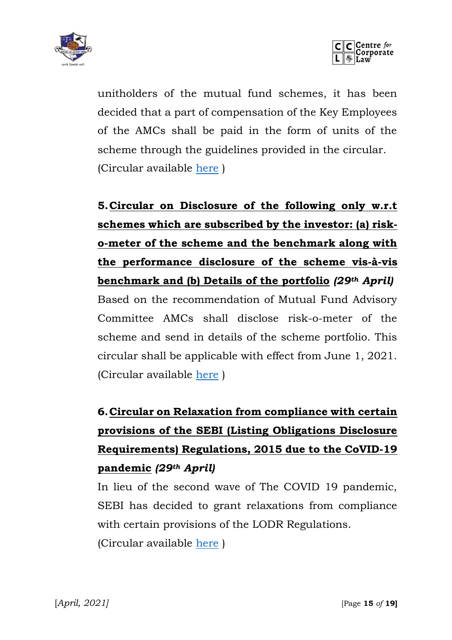



unitholders of the mutual fund schemes, it has been decided that a part of compensation of the Key Employees of the AMCs shall be paid in the form of units of the scheme through the guidelines provided in the circular. (Circular available [here](https://www.sebi.gov.in/legal/circulars/apr-2021/alignment-of-interest-of-key-employees-of-asset-management-companies-amcs-with-the-unitholders-of-the-mutual-fund-schemes_49979.html) )

**5.Circular on Disclosure of the following only w.r.t schemes which are subscribed by the investor: (a) risko-meter of the scheme and the benchmark along with the performance disclosure of the scheme vis-à-vis benchmark and (b) Details of the portfolio** *(29th April)* Based on the recommendation of Mutual Fund Advisory Committee AMCs shall disclose risk-o-meter of the scheme and send in details of the scheme portfolio. This circular shall be applicable with effect from June 1, 2021. (Circular available [here](https://www.sebi.gov.in/legal/circulars/apr-2021/disclosure-of-the-following-only-w-r-t-schemes-which-are-subscribed-by-the-investor-a-risk-o-meter-of-the-scheme-and-the-benchmark-along-with-the-performance-disclosure-of-the-scheme-vis-vis-ben-_49992.html) )

# **6.Circular on Relaxation from compliance with certain provisions of the SEBI (Listing Obligations Disclosure Requirements) Regulations, 2015 due to the CoVID-19 pandemic** *(29th April)*

In lieu of the second wave of The COVID 19 pandemic, SEBI has decided to grant relaxations from compliance with certain provisions of the LODR Regulations.

(Circular available [here](https://www.sebi.gov.in/legal/circulars/apr-2021/relaxation-from-compliance-with-certain-provisions-of-the-sebi-listing-obligations-disclosure-requirements-regulations-2015-due-to-the-covid-19-pandemic_50000.html) )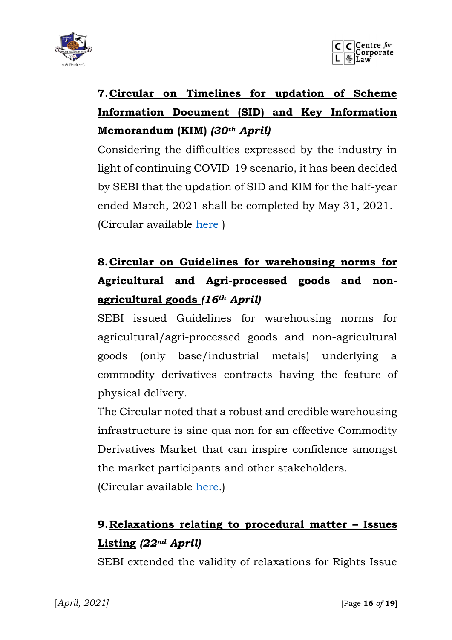



# **7.Circular on Timelines for updation of Scheme Information Document (SID) and Key Information Memorandum (KIM)** *(30th April)*

Considering the difficulties expressed by the industry in light of continuing COVID-19 scenario, it has been decided by SEBI that the updation of SID and KIM for the half-year ended March, 2021 shall be completed by May 31, 2021. (Circular available [here](https://www.sebi.gov.in/legal/circulars/apr-2021/timelines-for-updation-of-scheme-information-document-sid-and-key-information-memorandum-kim-_50020.html) )

## **8.Circular on Guidelines for warehousing norms for Agricultural and Agri-processed goods and nonagricultural goods** *(16th April)*

SEBI issued Guidelines for warehousing norms for agricultural/agri-processed goods and non-agricultural goods (only base/industrial metals) underlying a commodity derivatives contracts having the feature of physical delivery.

The Circular noted that a robust and credible warehousing infrastructure is sine qua non for an effective Commodity Derivatives Market that can inspire confidence amongst the market participants and other stakeholders.

(Circular available [here.](https://www.sebi.gov.in/legal/circulars/apr-2021/circular-on-guidelines-for-warehousing-norms-for-agricultural-and-agri-processed-goods-and-non-agricultural-goods-only-base-and-industrial-metals-_49838.html))

## **9.Relaxations relating to procedural matter – Issues Listing** *(22nd April)*

SEBI extended the validity of relaxations for Rights Issue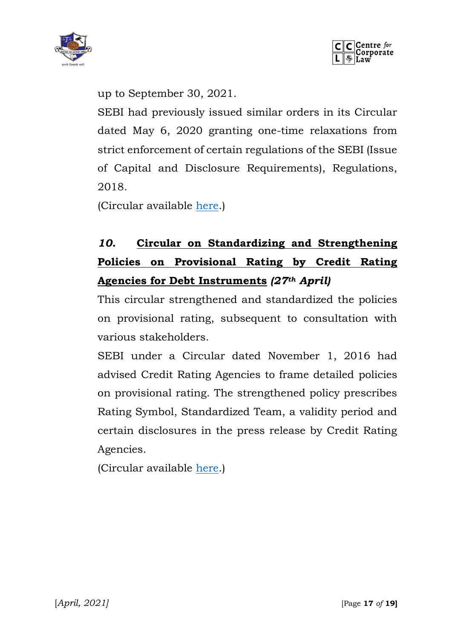



up to September 30, 2021.

SEBI had previously issued similar orders in its Circular dated May 6, 2020 granting one-time relaxations from strict enforcement of certain regulations of the SEBI (Issue of Capital and Disclosure Requirements), Regulations, 2018.

(Circular available [here.](https://www.sebi.gov.in/legal/circulars/apr-2021/relaxations-relating-to-procedural-matters-issues-and-listing_49900.html))

## *10.* **Circular on Standardizing and Strengthening Policies on Provisional Rating by Credit Rating Agencies for Debt Instruments** *(27th April)*

This circular strengthened and standardized the policies on provisional rating, subsequent to consultation with various stakeholders.

SEBI under a Circular dated November 1, 2016 had advised Credit Rating Agencies to frame detailed policies on provisional rating. The strengthened policy prescribes Rating Symbol, Standardized Team, a validity period and certain disclosures in the press release by Credit Rating Agencies.

(Circular available [here.](https://www.sebi.gov.in/legal/circulars/apr-2021/standardizing-and-strengthening-policies-on-provisional-rating-by-credit-rating-agencies-cras-for-debt-instruments_49951.html))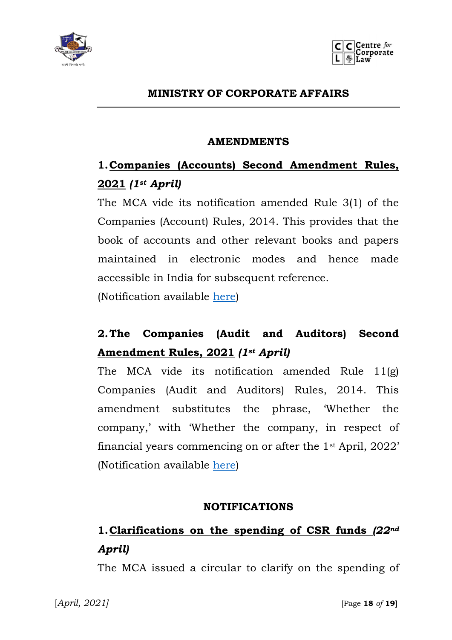



### **MINISTRY OF CORPORATE AFFAIRS**

### **AMENDMENTS**

### **1.Companies (Accounts) Second Amendment Rules, 2021** *(1st April)*

The MCA vide its notification amended Rule 3(1) of the Companies (Account) Rules, 2014. This provides that the book of accounts and other relevant books and papers maintained in electronic modes and hence made accessible in India for subsequent reference.

(Notification available [here\)](http://www.mca.gov.in/Ministry/pdf/AccountsSecondAmendmentRules_13042021.pdf)

## **2.The Companies (Audit and Auditors) Second Amendment Rules, 2021** *(1st April)*

The MCA vide its notification amended Rule 11(g) Companies (Audit and Auditors) Rules, 2014. This amendment substitutes the phrase, 'Whether the company,' with 'Whether the company, in respect of financial years commencing on or after the 1st April, 2022' (Notification available [here\)](http://www.mca.gov.in/Ministry/pdf/AuditAuditorsSecondAmendmentRules_13042021.pdf)

#### **NOTIFICATIONS**

## **1.Clarifications on the spending of CSR funds** *(22nd April)*

The MCA issued a circular to clarify on the spending of